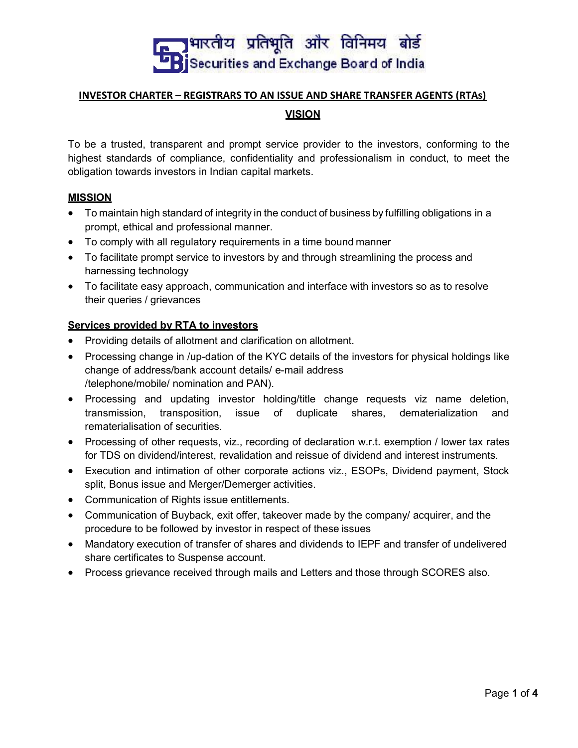

# INVESTOR CHARTER – REGISTRARS TO AN ISSUE AND SHARE TRANSFER AGENTS (RTAs) VISION

To be a trusted, transparent and prompt service provider to the investors, conforming to the highest standards of compliance, confidentiality and professionalism in conduct, to meet the obligation towards investors in Indian capital markets.

#### **MISSION**

- To maintain high standard of integrity in the conduct of business by fulfilling obligations in a prompt, ethical and professional manner.
- To comply with all regulatory requirements in a time bound manner
- To facilitate prompt service to investors by and through streamlining the process and harnessing technology
- To facilitate easy approach, communication and interface with investors so as to resolve their queries / grievances

#### Services provided by RTA to investors

- Providing details of allotment and clarification on allotment.
- Processing change in /up-dation of the KYC details of the investors for physical holdings like change of address/bank account details/ e-mail address /telephone/mobile/ nomination and PAN).
- Processing and updating investor holding/title change requests viz name deletion, transmission, transposition, issue of duplicate shares, dematerialization and rematerialisation of securities.
- Processing of other requests, viz., recording of declaration w.r.t. exemption / lower tax rates for TDS on dividend/interest, revalidation and reissue of dividend and interest instruments.
- Execution and intimation of other corporate actions viz., ESOPs, Dividend payment, Stock split, Bonus issue and Merger/Demerger activities.
- Communication of Rights issue entitlements.
- Communication of Buyback, exit offer, takeover made by the company/ acquirer, and the procedure to be followed by investor in respect of these issues
- Mandatory execution of transfer of shares and dividends to IEPF and transfer of undelivered share certificates to Suspense account.
- Process grievance received through mails and Letters and those through SCORES also.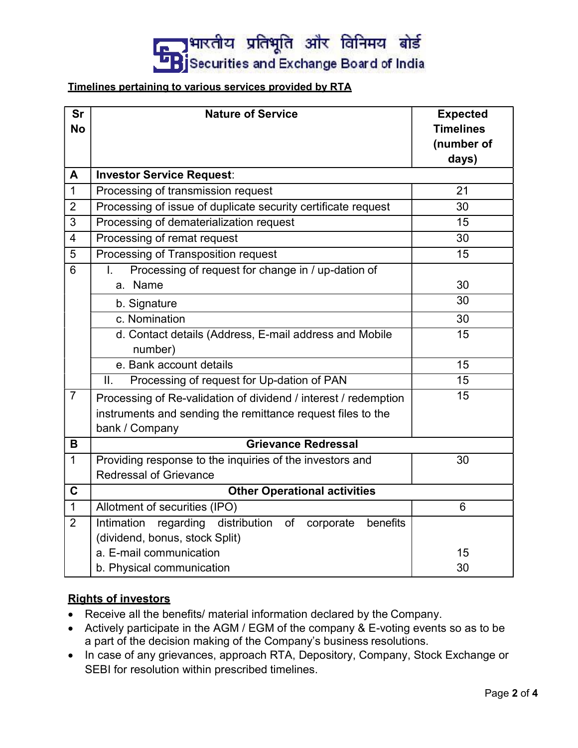# — अमारतीय प्रतिभूति और विनिमय बोर्ड<br>— Bjsecurities and Exchange Board of India

#### Timelines pertaining to various services provided by RTA

| <b>Sr</b><br><b>No</b> | <b>Nature of Service</b>                                         | <b>Expected</b><br><b>Timelines</b><br>(number of<br>days) |  |  |
|------------------------|------------------------------------------------------------------|------------------------------------------------------------|--|--|
| A                      | <b>Investor Service Request:</b>                                 |                                                            |  |  |
| $\mathbf 1$            | Processing of transmission request                               | 21                                                         |  |  |
| $\overline{2}$         | Processing of issue of duplicate security certificate request    | 30                                                         |  |  |
| $\mathfrak{S}$         | Processing of dematerialization request                          | 15                                                         |  |  |
| 4                      | Processing of remat request                                      | 30                                                         |  |  |
| 5                      | Processing of Transposition request                              | 15                                                         |  |  |
| $6\phantom{1}$         | Processing of request for change in / up-dation of<br>I.         |                                                            |  |  |
|                        | a. Name                                                          | 30                                                         |  |  |
|                        | b. Signature                                                     | 30                                                         |  |  |
|                        | c. Nomination                                                    | 30                                                         |  |  |
|                        | d. Contact details (Address, E-mail address and Mobile           | 15                                                         |  |  |
|                        | number)                                                          |                                                            |  |  |
|                        | e. Bank account details                                          | 15                                                         |  |  |
|                        | Processing of request for Up-dation of PAN<br>II.                | 15                                                         |  |  |
| 7                      | Processing of Re-validation of dividend / interest / redemption  | 15                                                         |  |  |
|                        | instruments and sending the remittance request files to the      |                                                            |  |  |
|                        | bank / Company                                                   |                                                            |  |  |
| B                      | <b>Grievance Redressal</b>                                       |                                                            |  |  |
| 1                      | Providing response to the inquiries of the investors and         | 30                                                         |  |  |
|                        | <b>Redressal of Grievance</b>                                    |                                                            |  |  |
| C                      | <b>Other Operational activities</b>                              |                                                            |  |  |
| $\mathbf 1$            | Allotment of securities (IPO)                                    | 6                                                          |  |  |
| $\overline{2}$         | Intimation<br>regarding distribution of<br>benefits<br>corporate |                                                            |  |  |
|                        | (dividend, bonus, stock Split)                                   |                                                            |  |  |
|                        | a. E-mail communication                                          | 15                                                         |  |  |
|                        | b. Physical communication                                        | 30                                                         |  |  |

## Rights of investors

- Receive all the benefits/ material information declared by the Company.
- Actively participate in the AGM / EGM of the company & E-voting events so as to be a part of the decision making of the Company's business resolutions.
- In case of any grievances, approach RTA, Depository, Company, Stock Exchange or SEBI for resolution within prescribed timelines.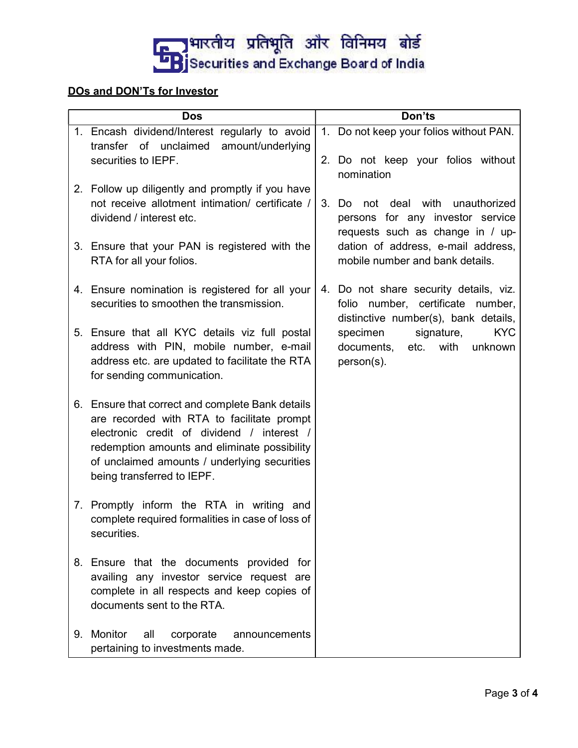

# DOs and DON'Ts for Investor

| <b>Dos</b> |                                                                                                                                                                                                                                                                            |    | Don'ts                                                                                                                                                                                                          |  |  |  |
|------------|----------------------------------------------------------------------------------------------------------------------------------------------------------------------------------------------------------------------------------------------------------------------------|----|-----------------------------------------------------------------------------------------------------------------------------------------------------------------------------------------------------------------|--|--|--|
|            | 1. Encash dividend/Interest regularly to avoid<br>transfer of unclaimed<br>amount/underlying                                                                                                                                                                               |    | 1. Do not keep your folios without PAN.                                                                                                                                                                         |  |  |  |
|            | securities to IEPF.                                                                                                                                                                                                                                                        |    | 2. Do not keep your folios without<br>nomination                                                                                                                                                                |  |  |  |
|            | 2. Follow up diligently and promptly if you have<br>not receive allotment intimation/ certificate /<br>dividend / interest etc.                                                                                                                                            | 3. | not deal with<br>unauthorized<br>Do.<br>persons for any investor service<br>requests such as change in / up-                                                                                                    |  |  |  |
|            | 3. Ensure that your PAN is registered with the<br>RTA for all your folios.                                                                                                                                                                                                 |    | dation of address, e-mail address,<br>mobile number and bank details.                                                                                                                                           |  |  |  |
|            | 4. Ensure nomination is registered for all your<br>securities to smoothen the transmission.                                                                                                                                                                                |    | 4. Do not share security details, viz.<br>folio number, certificate number,<br>distinctive number(s), bank details,<br><b>KYC</b><br>specimen<br>signature,<br>documents,<br>etc. with<br>unknown<br>person(s). |  |  |  |
|            | 5. Ensure that all KYC details viz full postal<br>address with PIN, mobile number, e-mail<br>address etc. are updated to facilitate the RTA<br>for sending communication.                                                                                                  |    |                                                                                                                                                                                                                 |  |  |  |
|            | 6. Ensure that correct and complete Bank details<br>are recorded with RTA to facilitate prompt<br>electronic credit of dividend / interest /<br>redemption amounts and eliminate possibility<br>of unclaimed amounts / underlying securities<br>being transferred to IEPF. |    |                                                                                                                                                                                                                 |  |  |  |
|            | 7. Promptly inform the RTA in writing and<br>complete required formalities in case of loss of<br>securities.                                                                                                                                                               |    |                                                                                                                                                                                                                 |  |  |  |
|            | 8. Ensure that the documents provided for<br>availing any investor service request are<br>complete in all respects and keep copies of<br>documents sent to the RTA.                                                                                                        |    |                                                                                                                                                                                                                 |  |  |  |
| 9.         | Monitor<br>all<br>corporate<br>announcements<br>pertaining to investments made.                                                                                                                                                                                            |    |                                                                                                                                                                                                                 |  |  |  |